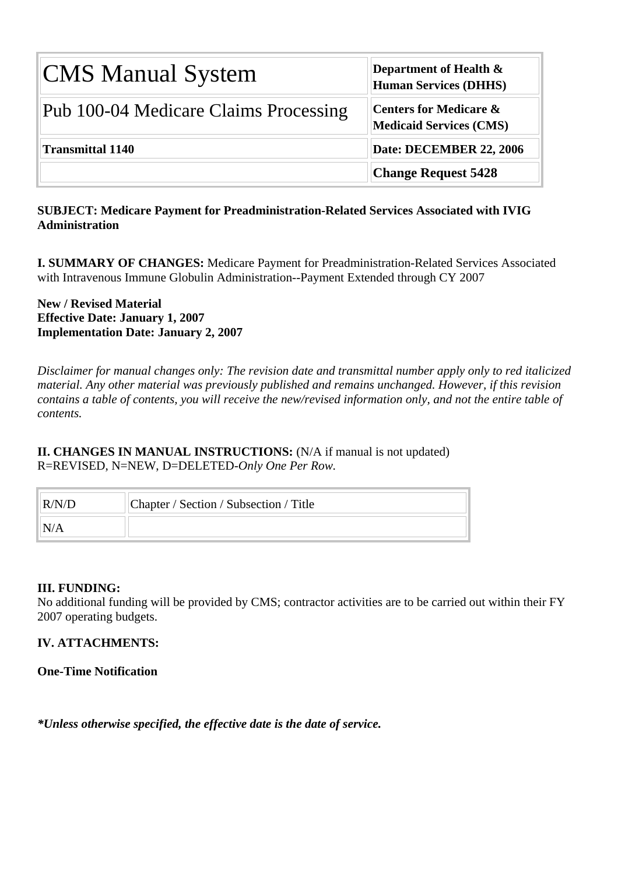| <b>CMS Manual System</b>              | Department of Health &<br><b>Human Services (DHHS)</b>              |
|---------------------------------------|---------------------------------------------------------------------|
| Pub 100-04 Medicare Claims Processing | <b>Centers for Medicare &amp;</b><br><b>Medicaid Services (CMS)</b> |
| Transmittal 1140                      | Date: DECEMBER 22, 2006                                             |
|                                       | <b>Change Request 5428</b>                                          |

## **SUBJECT: Medicare Payment for Preadministration-Related Services Associated with IVIG Administration**

**I. SUMMARY OF CHANGES:** Medicare Payment for Preadministration-Related Services Associated with Intravenous Immune Globulin Administration--Payment Extended through CY 2007

**New / Revised Material Effective Date: January 1, 2007 Implementation Date: January 2, 2007**

*Disclaimer for manual changes only: The revision date and transmittal number apply only to red italicized material. Any other material was previously published and remains unchanged. However, if this revision contains a table of contents, you will receive the new/revised information only, and not the entire table of contents.*

**II. CHANGES IN MANUAL INSTRUCTIONS:** (N/A if manual is not updated) R=REVISED, N=NEW, D=DELETED-*Only One Per Row.* 

| R/N/D | Chapter / Section / Subsection / Title |
|-------|----------------------------------------|
| N/A   |                                        |

## **III. FUNDING:**

No additional funding will be provided by CMS; contractor activities are to be carried out within their FY 2007 operating budgets.

## **IV. ATTACHMENTS:**

## **One-Time Notification**

*\*Unless otherwise specified, the effective date is the date of service.*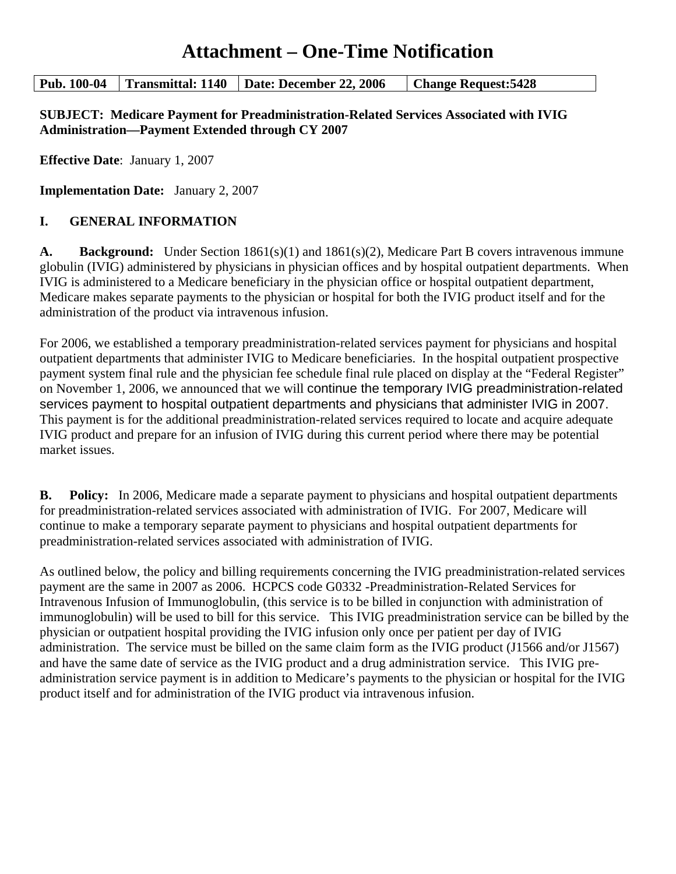# **Attachment – One-Time Notification**

#### **Pub. 100-04 Transmittal: 1140 Date: December 22, 2006 Change Request:5428**

**SUBJECT: Medicare Payment for Preadministration-Related Services Associated with IVIG Administration—Payment Extended through CY 2007** 

**Effective Date**: January 1, 2007

**Implementation Date:** January 2, 2007

## **I. GENERAL INFORMATION**

**A. Background:** Under Section 1861(s)(1) and 1861(s)(2), Medicare Part B covers intravenous immune globulin (IVIG) administered by physicians in physician offices and by hospital outpatient departments. When IVIG is administered to a Medicare beneficiary in the physician office or hospital outpatient department, Medicare makes separate payments to the physician or hospital for both the IVIG product itself and for the administration of the product via intravenous infusion.

For 2006, we established a temporary preadministration-related services payment for physicians and hospital outpatient departments that administer IVIG to Medicare beneficiaries. In the hospital outpatient prospective payment system final rule and the physician fee schedule final rule placed on display at the "Federal Register" on November 1, 2006, we announced that we will continue the temporary IVIG preadministration-related services payment to hospital outpatient departments and physicians that administer IVIG in 2007. This payment is for the additional preadministration-related services required to locate and acquire adequate IVIG product and prepare for an infusion of IVIG during this current period where there may be potential market issues.

**B. Policy:** In 2006, Medicare made a separate payment to physicians and hospital outpatient departments for preadministration-related services associated with administration of IVIG. For 2007, Medicare will continue to make a temporary separate payment to physicians and hospital outpatient departments for preadministration-related services associated with administration of IVIG.

As outlined below, the policy and billing requirements concerning the IVIG preadministration-related services payment are the same in 2007 as 2006. HCPCS code G0332 -Preadministration-Related Services for Intravenous Infusion of Immunoglobulin, (this service is to be billed in conjunction with administration of immunoglobulin) will be used to bill for this service. This IVIG preadministration service can be billed by the physician or outpatient hospital providing the IVIG infusion only once per patient per day of IVIG administration. The service must be billed on the same claim form as the IVIG product (J1566 and/or J1567) and have the same date of service as the IVIG product and a drug administration service. This IVIG preadministration service payment is in addition to Medicare's payments to the physician or hospital for the IVIG product itself and for administration of the IVIG product via intravenous infusion.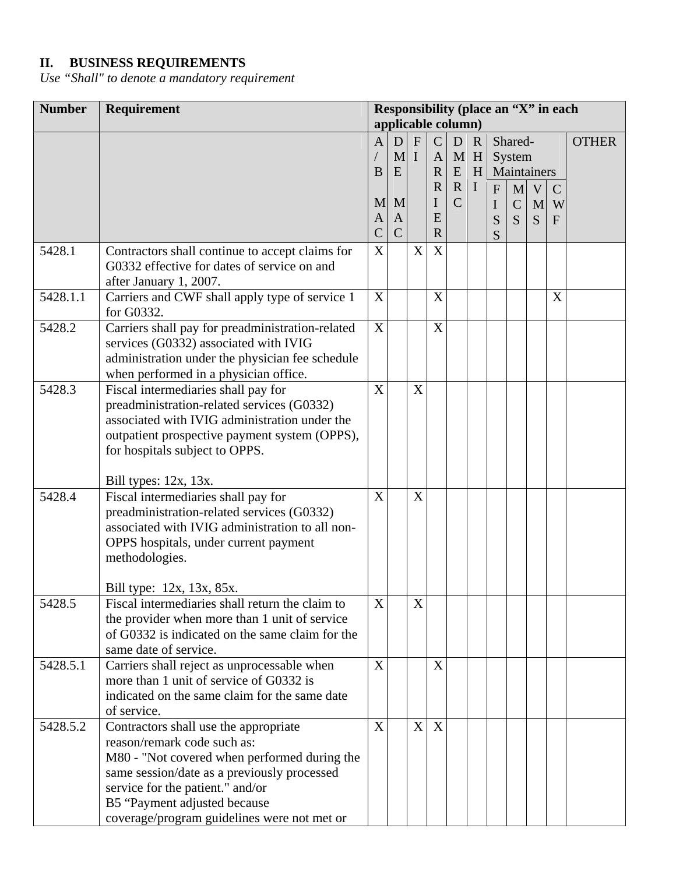## **II. BUSINESS REQUIREMENTS**

*Use "Shall" to denote a mandatory requirement* 

| <b>Number</b> | Requirement                                                                            | Responsibility (place an "X" in each |              |                           |               |               |             |              |               |              |               |              |
|---------------|----------------------------------------------------------------------------------------|--------------------------------------|--------------|---------------------------|---------------|---------------|-------------|--------------|---------------|--------------|---------------|--------------|
|               |                                                                                        | applicable column)                   |              |                           |               |               |             |              |               |              |               |              |
|               |                                                                                        | $\mathbf{A}$                         | D            | $\boldsymbol{\mathrm{F}}$ | $\mathcal{C}$ | D             | $\mathbf R$ |              | Shared-       |              |               | <b>OTHER</b> |
|               |                                                                                        |                                      | M I          |                           | $\mathbf{A}$  |               | $M$ H       |              | System        |              |               |              |
|               |                                                                                        | $\mathbf B$                          | E            |                           | $\mathbf R$   | ${\bf E}$     | H           |              |               | Maintainers  |               |              |
|               |                                                                                        |                                      |              |                           | $\mathbf R$   | $\mathbf{R}$  | $\mathbf I$ | $\mathbf{F}$ | $\mathbf{M}$  | $\mathbf{V}$ | $\mathcal{C}$ |              |
|               |                                                                                        | M                                    | M            |                           | $\mathbf I$   | $\mathcal{C}$ |             | $\bf I$      | $\mathcal{C}$ | M            | W             |              |
|               |                                                                                        | $\mathbf{A}$                         | A            |                           | E             |               |             | S            | S             | S            | F             |              |
|               |                                                                                        | $\overline{C}$                       | $\mathsf{C}$ |                           | $\mathbf R$   |               |             | S            |               |              |               |              |
| 5428.1        | Contractors shall continue to accept claims for                                        | X                                    |              | $\mathbf X$               | X             |               |             |              |               |              |               |              |
|               | G0332 effective for dates of service on and                                            |                                      |              |                           |               |               |             |              |               |              |               |              |
|               | after January 1, 2007.                                                                 |                                      |              |                           |               |               |             |              |               |              |               |              |
| 5428.1.1      | Carriers and CWF shall apply type of service 1                                         | X                                    |              |                           | X             |               |             |              |               |              | X             |              |
|               | for G0332.                                                                             |                                      |              |                           |               |               |             |              |               |              |               |              |
| 5428.2        | Carriers shall pay for preadministration-related                                       | $\boldsymbol{\mathrm{X}}$            |              |                           | X             |               |             |              |               |              |               |              |
|               | services (G0332) associated with IVIG                                                  |                                      |              |                           |               |               |             |              |               |              |               |              |
|               | administration under the physician fee schedule                                        |                                      |              |                           |               |               |             |              |               |              |               |              |
|               | when performed in a physician office.                                                  |                                      |              |                           |               |               |             |              |               |              |               |              |
| 5428.3        | Fiscal intermediaries shall pay for                                                    | X                                    |              | X                         |               |               |             |              |               |              |               |              |
|               | preadministration-related services (G0332)                                             |                                      |              |                           |               |               |             |              |               |              |               |              |
|               | associated with IVIG administration under the                                          |                                      |              |                           |               |               |             |              |               |              |               |              |
|               | outpatient prospective payment system (OPPS),                                          |                                      |              |                           |               |               |             |              |               |              |               |              |
|               | for hospitals subject to OPPS.                                                         |                                      |              |                           |               |               |             |              |               |              |               |              |
|               |                                                                                        |                                      |              |                           |               |               |             |              |               |              |               |              |
|               | Bill types: 12x, 13x.                                                                  |                                      |              |                           |               |               |             |              |               |              |               |              |
| 5428.4        | Fiscal intermediaries shall pay for                                                    | X                                    |              | X                         |               |               |             |              |               |              |               |              |
|               | preadministration-related services (G0332)                                             |                                      |              |                           |               |               |             |              |               |              |               |              |
|               | associated with IVIG administration to all non-                                        |                                      |              |                           |               |               |             |              |               |              |               |              |
|               | OPPS hospitals, under current payment                                                  |                                      |              |                           |               |               |             |              |               |              |               |              |
|               | methodologies.                                                                         |                                      |              |                           |               |               |             |              |               |              |               |              |
|               |                                                                                        |                                      |              |                           |               |               |             |              |               |              |               |              |
|               | Bill type: 12x, 13x, 85x.                                                              |                                      |              |                           |               |               |             |              |               |              |               |              |
| 5428.5        | Fiscal intermediaries shall return the claim to                                        | X                                    |              | X                         |               |               |             |              |               |              |               |              |
|               | the provider when more than 1 unit of service                                          |                                      |              |                           |               |               |             |              |               |              |               |              |
|               | of G0332 is indicated on the same claim for the<br>same date of service.               |                                      |              |                           |               |               |             |              |               |              |               |              |
|               |                                                                                        | X                                    |              |                           |               |               |             |              |               |              |               |              |
| 5428.5.1      | Carriers shall reject as unprocessable when<br>more than 1 unit of service of G0332 is |                                      |              |                           | X             |               |             |              |               |              |               |              |
|               | indicated on the same claim for the same date                                          |                                      |              |                           |               |               |             |              |               |              |               |              |
|               | of service.                                                                            |                                      |              |                           |               |               |             |              |               |              |               |              |
|               |                                                                                        | X                                    |              | X                         | X             |               |             |              |               |              |               |              |
| 5428.5.2      | Contractors shall use the appropriate<br>reason/remark code such as:                   |                                      |              |                           |               |               |             |              |               |              |               |              |
|               |                                                                                        |                                      |              |                           |               |               |             |              |               |              |               |              |
|               | M80 - "Not covered when performed during the                                           |                                      |              |                           |               |               |             |              |               |              |               |              |
|               | same session/date as a previously processed<br>service for the patient." and/or        |                                      |              |                           |               |               |             |              |               |              |               |              |
|               | B5 "Payment adjusted because                                                           |                                      |              |                           |               |               |             |              |               |              |               |              |
|               |                                                                                        |                                      |              |                           |               |               |             |              |               |              |               |              |
|               | coverage/program guidelines were not met or                                            |                                      |              |                           |               |               |             |              |               |              |               |              |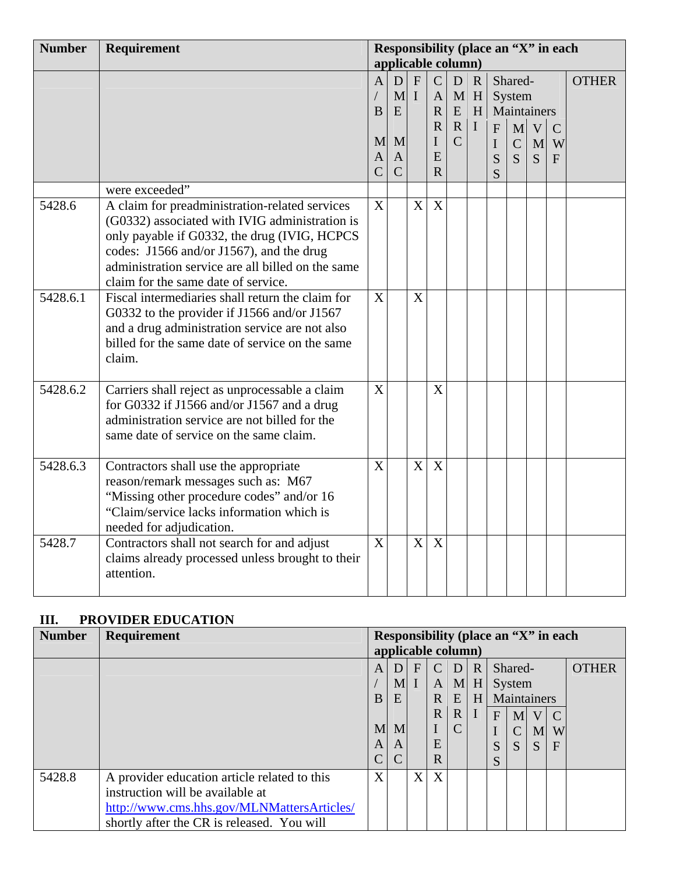| <b>Number</b>         | Requirement                                       | Responsibility (place an "X" in each |                |                           |                |                |             |              |               |             |             |              |
|-----------------------|---------------------------------------------------|--------------------------------------|----------------|---------------------------|----------------|----------------|-------------|--------------|---------------|-------------|-------------|--------------|
|                       |                                                   | applicable column)                   |                |                           |                |                |             |              |               |             |             |              |
|                       |                                                   | $\overline{A}$                       | D              | $\boldsymbol{\mathrm{F}}$ | $\mathbf C$    | D              | $\mathbf R$ |              | Shared-       |             |             | <b>OTHER</b> |
|                       |                                                   |                                      | $\mathbf{M}$   | $\mathbf I$               | $\mathbf{A}$   |                | $M$ H       |              | System        |             |             |              |
|                       |                                                   | B                                    | E              |                           | $\mathbf R$    | ${\bf E}$      | H           |              |               | Maintainers |             |              |
|                       |                                                   |                                      |                |                           | $\mathbf R$    | $\mathbf R$    | $\mathbf I$ | $\mathbf{F}$ | M             | V           | $\mathbf C$ |              |
|                       |                                                   | M                                    | M              |                           | I              | $\overline{C}$ |             | $\mathbf I$  | $\mathcal{C}$ | M           | W           |              |
|                       |                                                   | $\mathbf{A}$                         | $\mathbf{A}$   |                           | E              |                |             | S            | S             | S           | F           |              |
|                       |                                                   | $\overline{C}$                       | $\overline{C}$ |                           | $\overline{R}$ |                |             | S            |               |             |             |              |
|                       | were exceeded"                                    |                                      |                |                           |                |                |             |              |               |             |             |              |
| 5428.6                | A claim for preadministration-related services    | $\mathbf{X}$                         |                | X                         | X              |                |             |              |               |             |             |              |
|                       | (G0332) associated with IVIG administration is    |                                      |                |                           |                |                |             |              |               |             |             |              |
|                       | only payable if G0332, the drug (IVIG, HCPCS      |                                      |                |                           |                |                |             |              |               |             |             |              |
|                       | codes: J1566 and/or J1567), and the drug          |                                      |                |                           |                |                |             |              |               |             |             |              |
|                       | administration service are all billed on the same |                                      |                |                           |                |                |             |              |               |             |             |              |
|                       | claim for the same date of service.               |                                      |                |                           |                |                |             |              |               |             |             |              |
| $\overline{5428.6.1}$ | Fiscal intermediaries shall return the claim for  | X                                    |                | X                         |                |                |             |              |               |             |             |              |
|                       | G0332 to the provider if J1566 and/or J1567       |                                      |                |                           |                |                |             |              |               |             |             |              |
|                       | and a drug administration service are not also    |                                      |                |                           |                |                |             |              |               |             |             |              |
|                       | billed for the same date of service on the same   |                                      |                |                           |                |                |             |              |               |             |             |              |
|                       | claim.                                            |                                      |                |                           |                |                |             |              |               |             |             |              |
|                       |                                                   |                                      |                |                           |                |                |             |              |               |             |             |              |
| 5428.6.2              | Carriers shall reject as unprocessable a claim    | X                                    |                |                           | X              |                |             |              |               |             |             |              |
|                       | for G0332 if J1566 and/or J1567 and a drug        |                                      |                |                           |                |                |             |              |               |             |             |              |
|                       | administration service are not billed for the     |                                      |                |                           |                |                |             |              |               |             |             |              |
|                       | same date of service on the same claim.           |                                      |                |                           |                |                |             |              |               |             |             |              |
|                       |                                                   |                                      |                |                           |                |                |             |              |               |             |             |              |
| 5428.6.3              | Contractors shall use the appropriate             | X                                    |                | X                         | X              |                |             |              |               |             |             |              |
|                       | reason/remark messages such as: M67               |                                      |                |                           |                |                |             |              |               |             |             |              |
|                       | "Missing other procedure codes" and/or 16         |                                      |                |                           |                |                |             |              |               |             |             |              |
|                       | "Claim/service lacks information which is         |                                      |                |                           |                |                |             |              |               |             |             |              |
|                       | needed for adjudication.                          |                                      |                |                           |                |                |             |              |               |             |             |              |
| 5428.7                | Contractors shall not search for and adjust       | X                                    |                | $\mathbf X$               | X              |                |             |              |               |             |             |              |
|                       | claims already processed unless brought to their  |                                      |                |                           |                |                |             |              |               |             |             |              |
|                       | attention.                                        |                                      |                |                           |                |                |             |              |               |             |             |              |
|                       |                                                   |                                      |                |                           |                |                |             |              |               |             |             |              |

## **III. PROVIDER EDUCATION**

| <b>Number</b> | <b>Requirement</b>                           | Responsibility (place an "X" in each |                   |              |               |             |     |   |                |   |                |              |
|---------------|----------------------------------------------|--------------------------------------|-------------------|--------------|---------------|-------------|-----|---|----------------|---|----------------|--------------|
|               |                                              | applicable column)                   |                   |              |               |             |     |   |                |   |                |              |
|               |                                              | A                                    | D                 | $\mathbf{F}$ | $\mathcal{C}$ | D R         |     |   | Shared-        |   |                | <b>OTHER</b> |
|               |                                              |                                      | $M2$ I            |              | $\mathbf{A}$  |             | M H |   | System         |   |                |              |
|               |                                              | B                                    | $E$ $H$<br>E<br>R |              |               |             |     |   | Maintainers    |   |                |              |
|               |                                              |                                      |                   |              | $\mathbf{R}$  | $\mathbf R$ |     | F | M <sub>l</sub> | V | $\overline{C}$ |              |
|               |                                              | M                                    | M                 |              |               |             |     |   | $\mathcal{C}$  | M | W              |              |
|               |                                              | A                                    | A                 |              | E             |             |     | S | <sub>S</sub>   | S | F              |              |
|               |                                              | $\overline{C}$                       | C                 |              | $\mathbf R$   |             |     | S |                |   |                |              |
| 5428.8        | A provider education article related to this | X                                    |                   | X            | X             |             |     |   |                |   |                |              |
|               | instruction will be available at             |                                      |                   |              |               |             |     |   |                |   |                |              |
|               | http://www.cms.hhs.gov/MLNMattersArticles/   |                                      |                   |              |               |             |     |   |                |   |                |              |
|               | shortly after the CR is released. You will   |                                      |                   |              |               |             |     |   |                |   |                |              |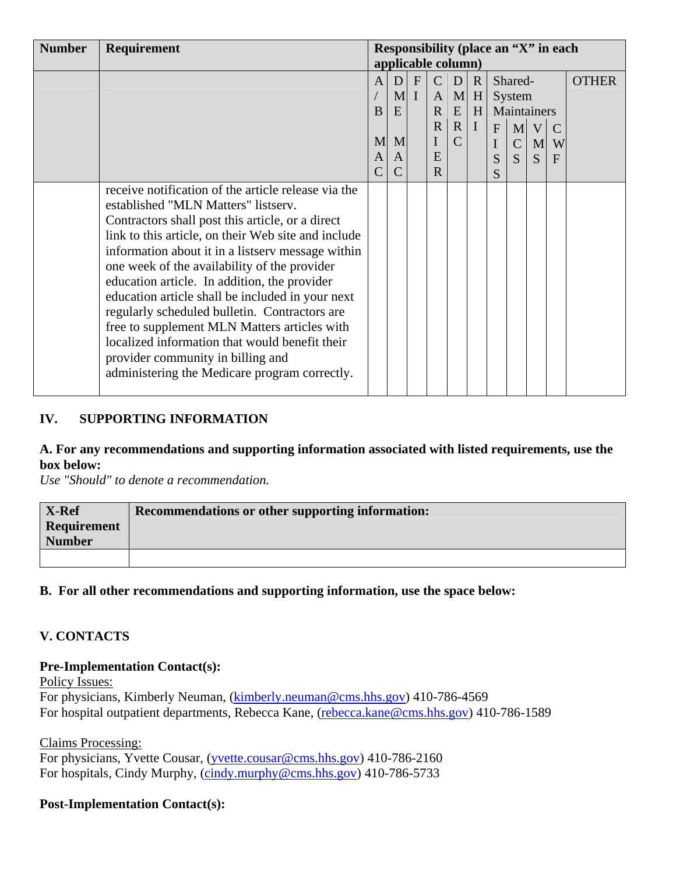| <b>Number</b> | Requirement                                                                                                                                                                                                                                                                                                                                                                                                                                                                                                                                                                                                                                             | Responsibility (place an "X" in each |                |              |              |                |              |              |                |   |               |              |
|---------------|---------------------------------------------------------------------------------------------------------------------------------------------------------------------------------------------------------------------------------------------------------------------------------------------------------------------------------------------------------------------------------------------------------------------------------------------------------------------------------------------------------------------------------------------------------------------------------------------------------------------------------------------------------|--------------------------------------|----------------|--------------|--------------|----------------|--------------|--------------|----------------|---|---------------|--------------|
|               |                                                                                                                                                                                                                                                                                                                                                                                                                                                                                                                                                                                                                                                         | applicable column)                   |                |              |              |                |              |              |                |   |               |              |
|               |                                                                                                                                                                                                                                                                                                                                                                                                                                                                                                                                                                                                                                                         | A                                    | D              | $\mathbf{F}$ | $\mathsf{C}$ | D              | $\mathbf R$  |              | Shared-        |   |               | <b>OTHER</b> |
|               |                                                                                                                                                                                                                                                                                                                                                                                                                                                                                                                                                                                                                                                         |                                      | M <sub>l</sub> | $\mathbf{I}$ | $\mathbf{A}$ | M              | H            |              | System         |   |               |              |
|               |                                                                                                                                                                                                                                                                                                                                                                                                                                                                                                                                                                                                                                                         | B                                    | E              |              | $\mathbf R$  | ${\bf E}$      | H            |              | Maintainers    |   |               |              |
|               |                                                                                                                                                                                                                                                                                                                                                                                                                                                                                                                                                                                                                                                         |                                      |                |              | $\mathbf R$  | $\mathbf R$    | $\mathbf{I}$ | $\mathbf{F}$ | M              | V | $\mathcal{C}$ |              |
|               |                                                                                                                                                                                                                                                                                                                                                                                                                                                                                                                                                                                                                                                         | M <sub>l</sub>                       | M              |              |              | $\overline{C}$ |              | I            | $\mathbf C$    | M | W             |              |
|               |                                                                                                                                                                                                                                                                                                                                                                                                                                                                                                                                                                                                                                                         | A                                    | A              |              | E            |                |              | S            | $\overline{S}$ | S | F             |              |
|               |                                                                                                                                                                                                                                                                                                                                                                                                                                                                                                                                                                                                                                                         | $\overline{C}$                       | $\mathsf{C}$   |              | $\mathbf{R}$ |                |              | S            |                |   |               |              |
|               | receive notification of the article release via the<br>established "MLN Matters" listserv.<br>Contractors shall post this article, or a direct<br>link to this article, on their Web site and include<br>information about it in a listsery message within<br>one week of the availability of the provider<br>education article. In addition, the provider<br>education article shall be included in your next<br>regularly scheduled bulletin. Contractors are<br>free to supplement MLN Matters articles with<br>localized information that would benefit their<br>provider community in billing and<br>administering the Medicare program correctly. |                                      |                |              |              |                |              |              |                |   |               |              |

## **IV. SUPPORTING INFORMATION**

#### **A. For any recommendations and supporting information associated with listed requirements, use the box below:**

*Use "Should" to denote a recommendation.* 

| <b>X-Ref</b>       | Recommendations or other supporting information: |
|--------------------|--------------------------------------------------|
| <b>Requirement</b> |                                                  |
| <b>Number</b>      |                                                  |
|                    |                                                  |

#### **B. For all other recommendations and supporting information, use the space below:**

## **V. CONTACTS**

#### **Pre-Implementation Contact(s):**

Policy Issues:

For physicians, Kimberly Neuman, ([kimberly.neuman@cms.hhs.gov](mailto:kimberly.neuman@cms.hhs.gov)) 410-786-4569 For hospital outpatient departments, Rebecca Kane, [\(rebecca.kane@cms.hhs.gov\)](mailto:rebecca.kane@cms.hhs.gov) 410-786-1589

Claims Processing:

For physicians, Yvette Cousar, [\(yvette.cousar@cms.hhs.gov\)](mailto:yvette.cousar@cms.hhs.gov) 410-786-2160 For hospitals, Cindy Murphy, [\(cindy.murphy@cms.hhs.gov](mailto:cindy.murphy@cms.hhs.gov)) 410-786-5733

#### **Post-Implementation Contact(s):**